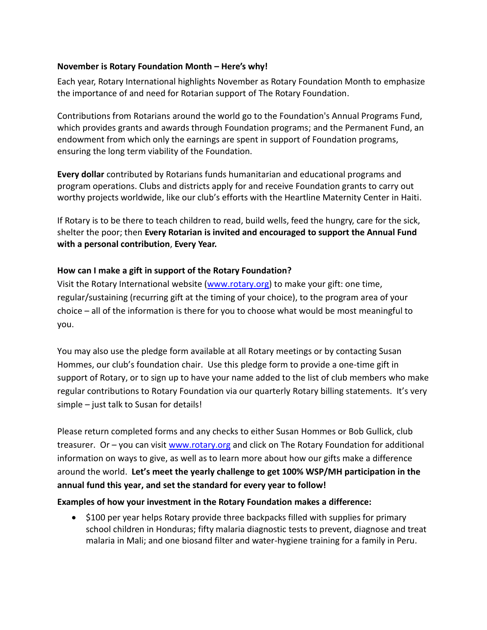## **November is Rotary Foundation Month – Here's why!**

Each year, Rotary International highlights November as Rotary Foundation Month to emphasize the importance of and need for Rotarian support of The Rotary Foundation.

Contributions from Rotarians around the world go to the Foundation's Annual Programs Fund, which provides grants and awards through Foundation programs; and the Permanent Fund, an endowment from which only the earnings are spent in support of Foundation programs, ensuring the long term viability of the Foundation.

**Every dollar** contributed by Rotarians funds humanitarian and educational programs and program operations. Clubs and districts apply for and receive Foundation grants to carry out worthy projects worldwide, like our club's efforts with the Heartline Maternity Center in Haiti.

If Rotary is to be there to teach children to read, build wells, feed the hungry, care for the sick, shelter the poor; then **Every Rotarian is invited and encouraged to support the Annual Fund with a personal contribution**, **Every Year.**

## **How can I make a gift in support of the Rotary Foundation?**

Visit the Rotary International website [\(www.rotary.org\)](http://www.rotary.org/) to make your gift: one time, regular/sustaining (recurring gift at the timing of your choice), to the program area of your choice – all of the information is there for you to choose what would be most meaningful to you.

You may also use the pledge form available at all Rotary meetings or by contacting Susan Hommes, our club's foundation chair. Use this pledge form to provide a one-time gift in support of Rotary, or to sign up to have your name added to the list of club members who make regular contributions to Rotary Foundation via our quarterly Rotary billing statements. It's very simple – just talk to Susan for details!

Please return completed forms and any checks to either Susan Hommes or Bob Gullick, club treasurer. Or – you can visit [www.rotary.org](http://www.rotary.org/) and click on The Rotary Foundation for additional information on ways to give, as well as to learn more about how our gifts make a difference around the world. **Let's meet the yearly challenge to get 100% WSP/MH participation in the annual fund this year, and set the standard for every year to follow!**

## **Examples of how your investment in the Rotary Foundation makes a difference:**

• S100 per year helps Rotary provide three backpacks filled with supplies for primary school children in Honduras; fifty malaria diagnostic tests to prevent, diagnose and treat malaria in Mali; and one biosand filter and water-hygiene training for a family in Peru.